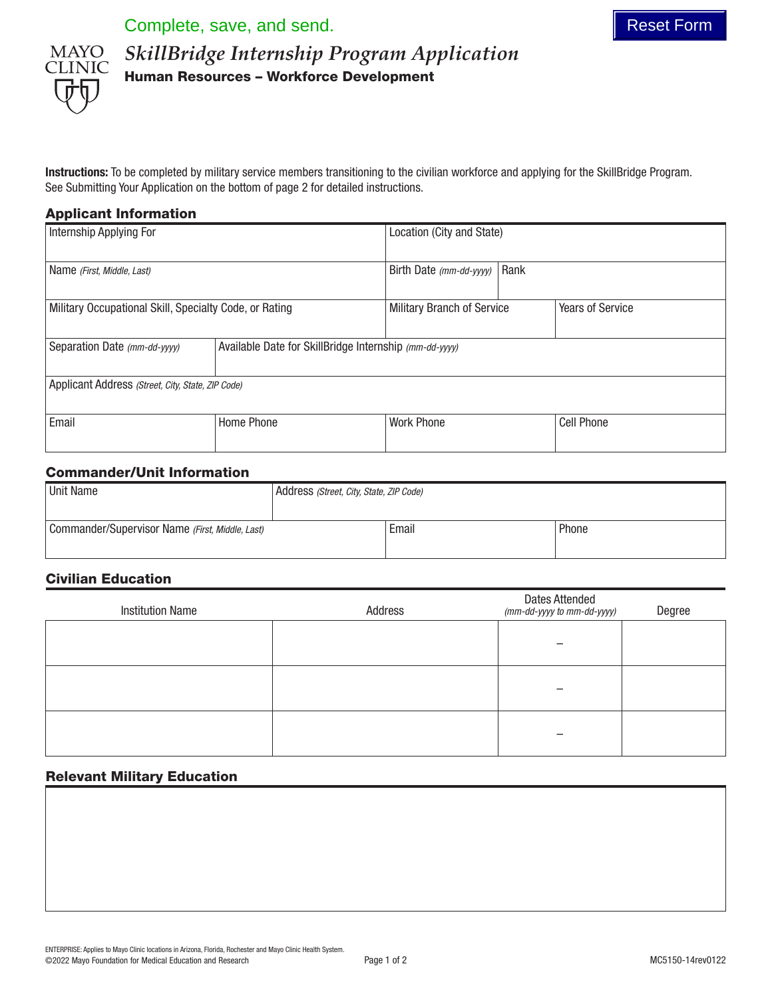Complete, save, and send. The set Form of the sense of the sense of the sense of the sense of the sense of the sense of the sense of the sense of the sense of the sense of the sense of the sense of the sense of the sense o



*SkillBridge Internship Program Application* Human Resources – Workforce Development

Instructions: To be completed by military service members transitioning to the civilian workforce and applying for the SkillBridge Program. See Submitting Your Application on the bottom of page 2 for detailed instructions.

# Applicant Information

| Internship Applying For                                |                                                        | Location (City and State)  |      |                         |  |  |
|--------------------------------------------------------|--------------------------------------------------------|----------------------------|------|-------------------------|--|--|
| Name (First, Middle, Last)                             |                                                        | Birth Date (mm-dd-yyyy)    | Rank |                         |  |  |
| Military Occupational Skill, Specialty Code, or Rating |                                                        | Military Branch of Service |      | <b>Years of Service</b> |  |  |
| Separation Date (mm-dd-yyyy)                           | Available Date for SkillBridge Internship (mm-dd-yyyy) |                            |      |                         |  |  |
| Applicant Address (Street, City, State, ZIP Code)      |                                                        |                            |      |                         |  |  |
| Email                                                  | Home Phone                                             | <b>Work Phone</b>          |      | <b>Cell Phone</b>       |  |  |

# Commander/Unit Information

| <b>Unit Name</b>                                | Address (Street, City, State, ZIP Code) |       |       |
|-------------------------------------------------|-----------------------------------------|-------|-------|
|                                                 |                                         |       |       |
| Commander/Supervisor Name (First, Middle, Last) |                                         | Email | Phone |
|                                                 |                                         |       |       |

# Civilian Education

| <b>Institution Name</b> | Address | <b>Dates Attended</b><br>(mm-dd-yyyy to mm-dd-yyyy) | Degree |
|-------------------------|---------|-----------------------------------------------------|--------|
|                         |         |                                                     |        |
|                         |         |                                                     |        |
|                         |         |                                                     |        |

# Relevant Military Education